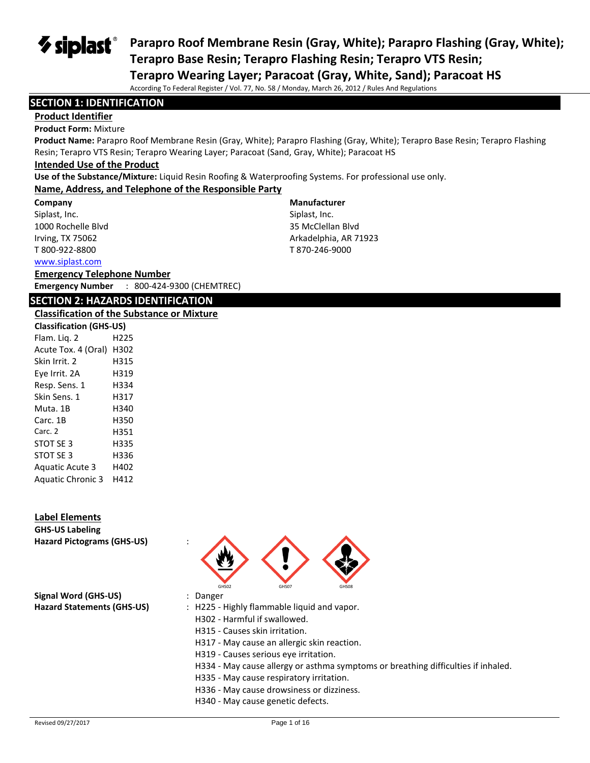$\boldsymbol{\diamond}$  siplast $\boldsymbol{\mathsf{s}}$ 

**Parapro Roof Membrane Resin (Gray, White); Parapro Flashing (Gray, White); Terapro Base Resin; Terapro Flashing Resin; Terapro VTS Resin;** 

**Terapro Wearing Layer; Paracoat (Gray, White, Sand); Paracoat HS**

According To Federal Register / Vol. 77, No. 58 / Monday, March 26, 2012 / Rules And Regulations

### **SECTION 1: IDENTIFICATION**

## **Product Identifier**

#### **Product Form:** Mixture

**Product Name:** Parapro Roof Membrane Resin (Gray, White); Parapro Flashing (Gray, White); Terapro Base Resin; Terapro Flashing Resin; Terapro VTS Resin; Terapro Wearing Layer; Paracoat (Sand, Gray, White); Paracoat HS

### **Intended Use of the Product**

**Use of the Substance/Mixture:** Liquid Resin Roofing & Waterproofing Systems. For professional use only.

#### **Name, Address, and Telephone of the Responsible Party**

**Company**  Siplast, Inc.

1000 Rochelle Blvd Irving, TX 75062 T 800-922-8800

## **Manufacturer**

Siplast, Inc. 35 McClellan Blvd Arkadelphia, AR 71923 T 870-246-9000

#### [www.siplast.com](../../../../AppData/Local/Temp/www.siplast.com)

**Emergency Telephone Number**

**Emergency Number** : 800-424-9300 (CHEMTREC)

#### **SECTION 2: HAZARDS IDENTIFICATION**

#### **Classification of the Substance or Mixture**

| <b>Classification (GHS-US)</b> |      |  |
|--------------------------------|------|--|
| Flam. Lig. 2                   | H225 |  |
| Acute Tox. 4 (Oral)            | H302 |  |
| Skin Irrit. 2                  | H315 |  |
| Eye Irrit. 2A                  | H319 |  |
| Resp. Sens. 1                  | H334 |  |
| Skin Sens. 1                   | H317 |  |
| Muta. 1B                       | H340 |  |
| Carc. 1B                       | H350 |  |
| Carc. 2                        | H351 |  |
| STOT SE 3                      | H335 |  |
| STOT SE 3                      | H336 |  |
| <b>Aguatic Acute 3</b>         | H402 |  |
| <b>Aquatic Chronic 3</b>       | H412 |  |

#### **Label Elements**

**GHS-US Labeling Hazard Pictograms (GHS-US)** :



**Signal Word (GHS-US)** : Danger **Hazard Statements (GHS-US)** : H225 - Highly flammable liquid and vapor.

- H302 Harmful if swallowed.
- H315 Causes skin irritation.
- H317 May cause an allergic skin reaction.
- H319 Causes serious eye irritation.
- H334 May cause allergy or asthma symptoms or breathing difficulties if inhaled.
- H335 May cause respiratory irritation.
- H336 May cause drowsiness or dizziness.
- H340 May cause genetic defects.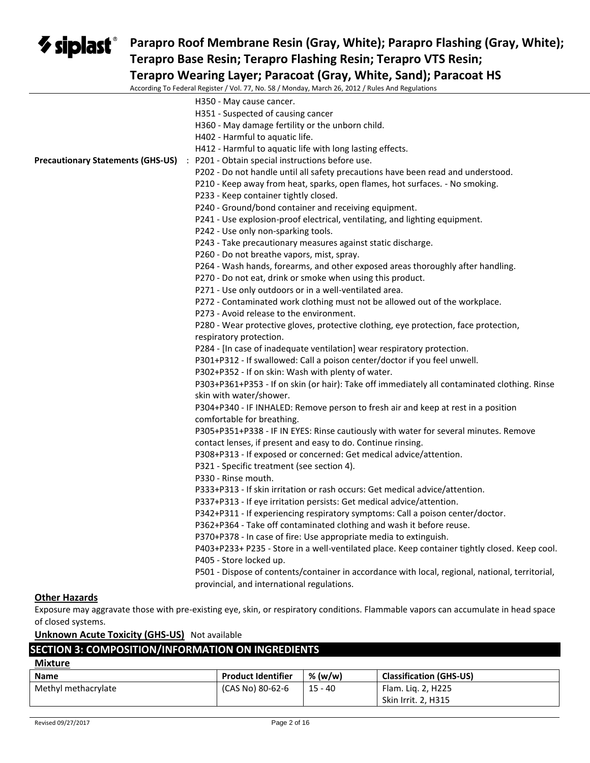## **Parapro Roof Membrane Resin (Gray, White); Parapro Flashing (Gray, White); Terapro Base Resin; Terapro Flashing Resin; Terapro VTS Resin; Terapro Wearing Layer; Paracoat (Gray, White, Sand); Paracoat HS**

According To Federal Register / Vol. 77, No. 58 / Monday, March 26, 2012 / Rules And Regulations

|                      | To reactar hegister / You 77, No. 50 / Monday, March 20, 2012 / Nates And hegalations           |
|----------------------|-------------------------------------------------------------------------------------------------|
|                      | H350 - May cause cancer.                                                                        |
|                      | H351 - Suspected of causing cancer                                                              |
|                      | H360 - May damage fertility or the unborn child.                                                |
|                      | H402 - Harmful to aquatic life.                                                                 |
|                      | H412 - Harmful to aquatic life with long lasting effects.                                       |
|                      | Precautionary Statements (GHS-US) : P201 - Obtain special instructions before use.              |
|                      | P202 - Do not handle until all safety precautions have been read and understood.                |
|                      | P210 - Keep away from heat, sparks, open flames, hot surfaces. - No smoking.                    |
|                      | P233 - Keep container tightly closed.                                                           |
|                      | P240 - Ground/bond container and receiving equipment.                                           |
|                      | P241 - Use explosion-proof electrical, ventilating, and lighting equipment.                     |
|                      | P242 - Use only non-sparking tools.                                                             |
|                      | P243 - Take precautionary measures against static discharge.                                    |
|                      |                                                                                                 |
|                      | P260 - Do not breathe vapors, mist, spray.                                                      |
|                      | P264 - Wash hands, forearms, and other exposed areas thoroughly after handling.                 |
|                      | P270 - Do not eat, drink or smoke when using this product.                                      |
|                      | P271 - Use only outdoors or in a well-ventilated area.                                          |
|                      | P272 - Contaminated work clothing must not be allowed out of the workplace.                     |
|                      | P273 - Avoid release to the environment.                                                        |
|                      | P280 - Wear protective gloves, protective clothing, eye protection, face protection,            |
|                      | respiratory protection.                                                                         |
|                      | P284 - [In case of inadequate ventilation] wear respiratory protection.                         |
|                      | P301+P312 - If swallowed: Call a poison center/doctor if you feel unwell.                       |
|                      | P302+P352 - If on skin: Wash with plenty of water.                                              |
|                      | P303+P361+P353 - If on skin (or hair): Take off immediately all contaminated clothing. Rinse    |
|                      | skin with water/shower.                                                                         |
|                      | P304+P340 - IF INHALED: Remove person to fresh air and keep at rest in a position               |
|                      | comfortable for breathing.                                                                      |
|                      | P305+P351+P338 - IF IN EYES: Rinse cautiously with water for several minutes. Remove            |
|                      | contact lenses, if present and easy to do. Continue rinsing.                                    |
|                      | P308+P313 - If exposed or concerned: Get medical advice/attention.                              |
|                      | P321 - Specific treatment (see section 4).                                                      |
|                      | P330 - Rinse mouth.                                                                             |
|                      | P333+P313 - If skin irritation or rash occurs: Get medical advice/attention.                    |
|                      | P337+P313 - If eye irritation persists: Get medical advice/attention.                           |
|                      | P342+P311 - If experiencing respiratory symptoms: Call a poison center/doctor.                  |
|                      | P362+P364 - Take off contaminated clothing and wash it before reuse.                            |
|                      | P370+P378 - In case of fire: Use appropriate media to extinguish.                               |
|                      | P403+P233+ P235 - Store in a well-ventilated place. Keep container tightly closed. Keep cool.   |
|                      | P405 - Store locked up.                                                                         |
|                      | P501 - Dispose of contents/container in accordance with local, regional, national, territorial, |
|                      | provincial, and international regulations.                                                      |
| <b>Other Hazards</b> |                                                                                                 |

Exposure may aggravate those with pre-existing eye, skin, or respiratory conditions. Flammable vapors can accumulate in head space of closed systems.

**Unknown Acute Toxicity (GHS-US)** Not available

## **SECTION 3: COMPOSITION/INFORMATION ON INGREDIENTS**

| <b>IVIIXTUTE</b>    |                           |           |                                |
|---------------------|---------------------------|-----------|--------------------------------|
| <b>Name</b>         | <b>Product Identifier</b> | % (w/w)   | <b>Classification (GHS-US)</b> |
| Methyl methacrylate | (CAS No) 80-62-6          | $15 - 40$ | Flam. Lig. 2, H225             |
|                     |                           |           | Skin Irrit. 2, H315            |

**Mixture**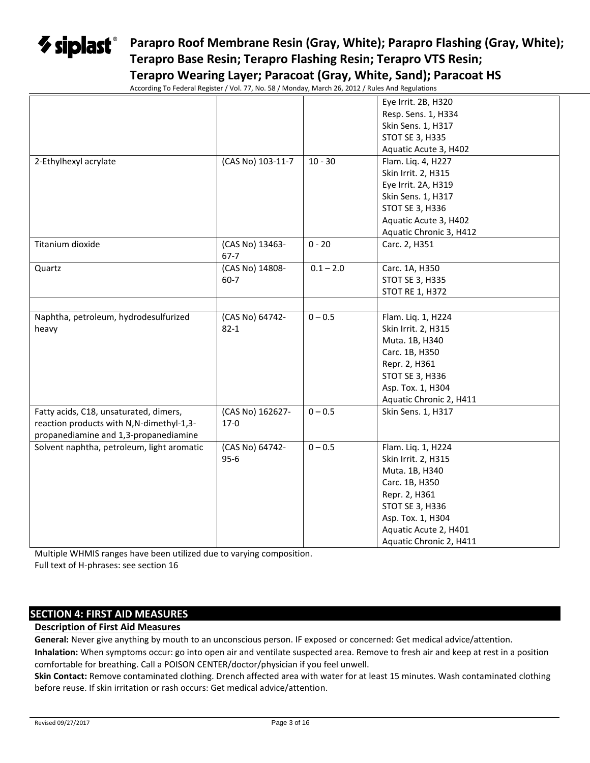## **Parapro Roof Membrane Resin (Gray, White); Parapro Flashing (Gray, White); Terapro Base Resin; Terapro Flashing Resin; Terapro VTS Resin; Terapro Wearing Layer; Paracoat (Gray, White, Sand); Paracoat HS**

According To Federal Register / Vol. 77, No. 58 / Monday, March 26, 2012 / Rules And Regulations

|                                            | According TO Federal Register $\gamma$ VOR 77, NO. 30 $\gamma$ Monday, March 20, 2012 $\gamma$ Rules And Regulations |             |                         |
|--------------------------------------------|----------------------------------------------------------------------------------------------------------------------|-------------|-------------------------|
|                                            |                                                                                                                      |             | Eye Irrit. 2B, H320     |
|                                            |                                                                                                                      |             | Resp. Sens. 1, H334     |
|                                            |                                                                                                                      |             | Skin Sens. 1, H317      |
|                                            |                                                                                                                      |             | <b>STOT SE 3, H335</b>  |
|                                            |                                                                                                                      |             | Aquatic Acute 3, H402   |
| 2-Ethylhexyl acrylate                      | (CAS No) 103-11-7                                                                                                    | $10 - 30$   | Flam. Liq. 4, H227      |
|                                            |                                                                                                                      |             | Skin Irrit. 2, H315     |
|                                            |                                                                                                                      |             | Eye Irrit. 2A, H319     |
|                                            |                                                                                                                      |             | Skin Sens. 1, H317      |
|                                            |                                                                                                                      |             | <b>STOT SE 3, H336</b>  |
|                                            |                                                                                                                      |             | Aquatic Acute 3, H402   |
|                                            |                                                                                                                      |             | Aquatic Chronic 3, H412 |
| Titanium dioxide                           | (CAS No) 13463-<br>$67 - 7$                                                                                          | $0 - 20$    | Carc. 2, H351           |
| Quartz                                     | (CAS No) 14808-                                                                                                      | $0.1 - 2.0$ | Carc. 1A, H350          |
|                                            | $60 - 7$                                                                                                             |             | <b>STOT SE 3, H335</b>  |
|                                            |                                                                                                                      |             | <b>STOT RE 1, H372</b>  |
|                                            |                                                                                                                      |             |                         |
| Naphtha, petroleum, hydrodesulfurized      | (CAS No) 64742-                                                                                                      | $0 - 0.5$   | Flam. Liq. 1, H224      |
| heavy                                      | $82 - 1$                                                                                                             |             | Skin Irrit. 2, H315     |
|                                            |                                                                                                                      |             | Muta. 1B, H340          |
|                                            |                                                                                                                      |             | Carc. 1B, H350          |
|                                            |                                                                                                                      |             | Repr. 2, H361           |
|                                            |                                                                                                                      |             | STOT SE 3, H336         |
|                                            |                                                                                                                      |             | Asp. Tox. 1, H304       |
|                                            |                                                                                                                      |             | Aquatic Chronic 2, H411 |
| Fatty acids, C18, unsaturated, dimers,     | (CAS No) 162627-                                                                                                     | $0 - 0.5$   | Skin Sens. 1, H317      |
| reaction products with N,N-dimethyl-1,3-   | $17-0$                                                                                                               |             |                         |
| propanediamine and 1,3-propanediamine      |                                                                                                                      |             |                         |
| Solvent naphtha, petroleum, light aromatic | (CAS No) 64742-                                                                                                      | $0 - 0.5$   | Flam. Liq. 1, H224      |
|                                            | $95 - 6$                                                                                                             |             | Skin Irrit. 2, H315     |
|                                            |                                                                                                                      |             | Muta. 1B, H340          |
|                                            |                                                                                                                      |             | Carc. 1B, H350          |
|                                            |                                                                                                                      |             | Repr. 2, H361           |
|                                            |                                                                                                                      |             |                         |
|                                            |                                                                                                                      |             | STOT SE 3, H336         |
|                                            |                                                                                                                      |             | Asp. Tox. 1, H304       |
|                                            |                                                                                                                      |             | Aquatic Acute 2, H401   |
|                                            |                                                                                                                      |             | Aquatic Chronic 2, H411 |

Multiple WHMIS ranges have been utilized due to varying composition. Full text of H-phrases: see section 16

## **SECTION 4: FIRST AID MEASURES**

### **Description of First Aid Measures**

**General:** Never give anything by mouth to an unconscious person. IF exposed or concerned: Get medical advice/attention.

**Inhalation:** When symptoms occur: go into open air and ventilate suspected area. Remove to fresh air and keep at rest in a position comfortable for breathing. Call a POISON CENTER/doctor/physician if you feel unwell.

**Skin Contact:** Remove contaminated clothing. Drench affected area with water for at least 15 minutes. Wash contaminated clothing before reuse. If skin irritation or rash occurs: Get medical advice/attention.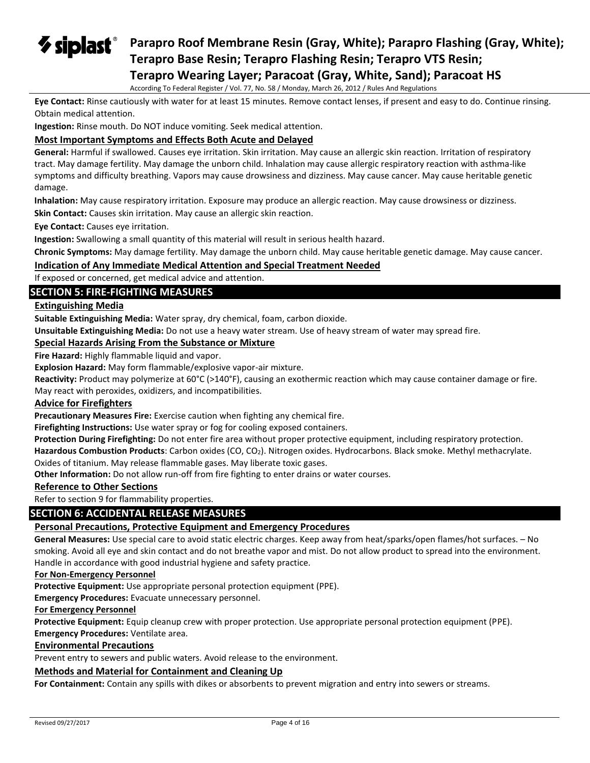$\boldsymbol{\triangledown}$  siplast $^{\circ}$ **Parapro Roof Membrane Resin (Gray, White); Parapro Flashing (Gray, White); Terapro Base Resin; Terapro Flashing Resin; Terapro VTS Resin; Terapro Wearing Layer; Paracoat (Gray, White, Sand); Paracoat HS**

According To Federal Register / Vol. 77, No. 58 / Monday, March 26, 2012 / Rules And Regulations

**Eye Contact:** Rinse cautiously with water for at least 15 minutes. Remove contact lenses, if present and easy to do. Continue rinsing. Obtain medical attention.

**Ingestion:** Rinse mouth. Do NOT induce vomiting. Seek medical attention.

#### **Most Important Symptoms and Effects Both Acute and Delayed**

**General:** Harmful if swallowed. Causes eye irritation. Skin irritation. May cause an allergic skin reaction. Irritation of respiratory tract. May damage fertility. May damage the unborn child. Inhalation may cause allergic respiratory reaction with asthma-like symptoms and difficulty breathing. Vapors may cause drowsiness and dizziness. May cause cancer. May cause heritable genetic damage.

**Inhalation:** May cause respiratory irritation. Exposure may produce an allergic reaction. May cause drowsiness or dizziness.

**Skin Contact:** Causes skin irritation. May cause an allergic skin reaction.

**Eye Contact:** Causes eye irritation.

**Ingestion:** Swallowing a small quantity of this material will result in serious health hazard.

**Chronic Symptoms:** May damage fertility. May damage the unborn child. May cause heritable genetic damage. May cause cancer.

#### **Indication of Any Immediate Medical Attention and Special Treatment Needed**

If exposed or concerned, get medical advice and attention.

## **SECTION 5: FIRE-FIGHTING MEASURES**

#### **Extinguishing Media**

**Suitable Extinguishing Media:** Water spray, dry chemical, foam, carbon dioxide.

**Unsuitable Extinguishing Media:** Do not use a heavy water stream. Use of heavy stream of water may spread fire.

#### **Special Hazards Arising From the Substance or Mixture**

**Fire Hazard:** Highly flammable liquid and vapor.

**Explosion Hazard:** May form flammable/explosive vapor-air mixture.

**Reactivity:** Product may polymerize at 60°C (>140°F), causing an exothermic reaction which may cause container damage or fire.

May react with peroxides, oxidizers, and incompatibilities.

#### **Advice for Firefighters**

**Precautionary Measures Fire:** Exercise caution when fighting any chemical fire.

**Firefighting Instructions:** Use water spray or fog for cooling exposed containers.

**Protection During Firefighting:** Do not enter fire area without proper protective equipment, including respiratory protection.

Hazardous Combustion Products: Carbon oxides (CO, CO<sub>2</sub>). Nitrogen oxides. Hydrocarbons. Black smoke. Methyl methacrylate. Oxides of titanium. May release flammable gases. May liberate toxic gases.

**Other Information:** Do not allow run-off from fire fighting to enter drains or water courses.

#### **Reference to Other Sections**

Refer to section 9 for flammability properties.

#### **SECTION 6: ACCIDENTAL RELEASE MEASURES**

#### **Personal Precautions, Protective Equipment and Emergency Procedures**

**General Measures:** Use special care to avoid static electric charges. Keep away from heat/sparks/open flames/hot surfaces. – No smoking. Avoid all eye and skin contact and do not breathe vapor and mist. Do not allow product to spread into the environment. Handle in accordance with good industrial hygiene and safety practice.

**For Non-Emergency Personnel**

**Protective Equipment:** Use appropriate personal protection equipment (PPE).

**Emergency Procedures:** Evacuate unnecessary personnel.

#### **For Emergency Personnel**

**Protective Equipment:** Equip cleanup crew with proper protection. Use appropriate personal protection equipment (PPE).

#### **Emergency Procedures:** Ventilate area.

#### **Environmental Precautions**

Prevent entry to sewers and public waters. Avoid release to the environment.

#### **Methods and Material for Containment and Cleaning Up**

**For Containment:** Contain any spills with dikes or absorbents to prevent migration and entry into sewers or streams.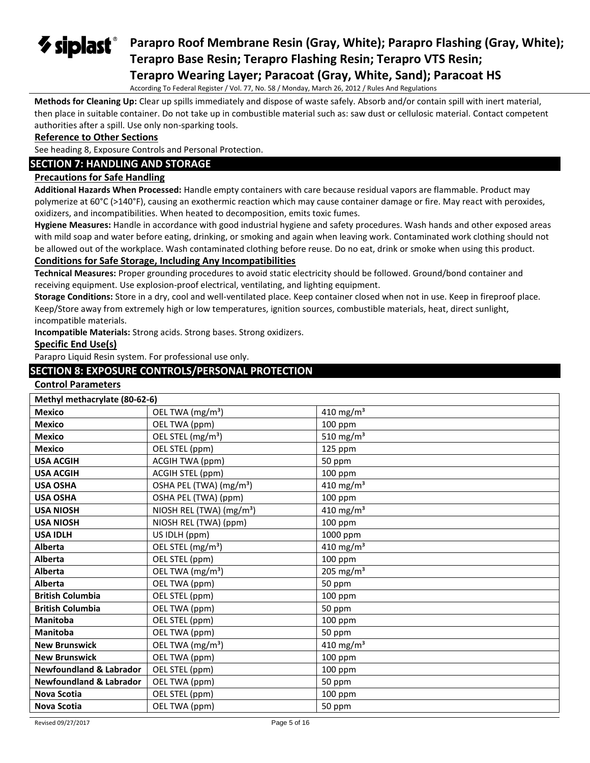## $\boldsymbol{\triangledown}$  siplast $^{\circ}$ **Parapro Roof Membrane Resin (Gray, White); Parapro Flashing (Gray, White); Terapro Base Resin; Terapro Flashing Resin; Terapro VTS Resin; Terapro Wearing Layer; Paracoat (Gray, White, Sand); Paracoat HS**

According To Federal Register / Vol. 77, No. 58 / Monday, March 26, 2012 / Rules And Regulations

**Methods for Cleaning Up:** Clear up spills immediately and dispose of waste safely. Absorb and/or contain spill with inert material, then place in suitable container. Do not take up in combustible material such as: saw dust or cellulosic material. Contact competent authorities after a spill. Use only non-sparking tools.

#### **Reference to Other Sections**

See heading 8, Exposure Controls and Personal Protection.

## **SECTION 7: HANDLING AND STORAGE**

#### **Precautions for Safe Handling**

**Additional Hazards When Processed:** Handle empty containers with care because residual vapors are flammable. Product may polymerize at 60°C (>140°F), causing an exothermic reaction which may cause container damage or fire. May react with peroxides, oxidizers, and incompatibilities. When heated to decomposition, emits toxic fumes.

**Hygiene Measures:** Handle in accordance with good industrial hygiene and safety procedures. Wash hands and other exposed areas with mild soap and water before eating, drinking, or smoking and again when leaving work. Contaminated work clothing should not be allowed out of the workplace. Wash contaminated clothing before reuse. Do no eat, drink or smoke when using this product.

## **Conditions for Safe Storage, Including Any Incompatibilities**

**Technical Measures:** Proper grounding procedures to avoid static electricity should be followed. Ground/bond container and receiving equipment. Use explosion-proof electrical, ventilating, and lighting equipment.

**Storage Conditions:** Store in a dry, cool and well-ventilated place. Keep container closed when not in use. Keep in fireproof place. Keep/Store away from extremely high or low temperatures, ignition sources, combustible materials, heat, direct sunlight, incompatible materials.

**Incompatible Materials:** Strong acids. Strong bases. Strong oxidizers.

#### **Specific End Use(s)**

Parapro Liquid Resin system. For professional use only.

## **SECTION 8: EXPOSURE CONTROLS/PERSONAL PROTECTION**

#### **Control Parameters**

| Methyl methacrylate (80-62-6)      |                                      |                       |  |
|------------------------------------|--------------------------------------|-----------------------|--|
| <b>Mexico</b>                      | OEL TWA (mg/m <sup>3</sup> )         | 410 mg/m <sup>3</sup> |  |
| <b>Mexico</b>                      | OEL TWA (ppm)                        | 100 ppm               |  |
| <b>Mexico</b>                      | OEL STEL (mg/m <sup>3</sup> )        | 510 mg/m $3$          |  |
| <b>Mexico</b>                      | OEL STEL (ppm)                       | 125 ppm               |  |
| <b>USA ACGIH</b>                   | <b>ACGIH TWA (ppm)</b>               | 50 ppm                |  |
| <b>USA ACGIH</b>                   | ACGIH STEL (ppm)                     | 100 ppm               |  |
| <b>USA OSHA</b>                    | OSHA PEL (TWA) (mg/m <sup>3</sup> )  | 410 mg/m <sup>3</sup> |  |
| <b>USA OSHA</b>                    | OSHA PEL (TWA) (ppm)                 | 100 ppm               |  |
| <b>USA NIOSH</b>                   | NIOSH REL (TWA) (mg/m <sup>3</sup> ) | 410 mg/m <sup>3</sup> |  |
| <b>USA NIOSH</b>                   | NIOSH REL (TWA) (ppm)                | $100$ ppm             |  |
| <b>USA IDLH</b>                    | US IDLH (ppm)                        | 1000 ppm              |  |
| Alberta                            | OEL STEL (mg/m <sup>3</sup> )        | 410 mg/m <sup>3</sup> |  |
| Alberta                            | OEL STEL (ppm)                       | 100 ppm               |  |
| <b>Alberta</b>                     | OEL TWA (mg/m <sup>3</sup> )         | 205 mg/m <sup>3</sup> |  |
| Alberta                            | OEL TWA (ppm)                        | 50 ppm                |  |
| <b>British Columbia</b>            | OEL STEL (ppm)                       | 100 ppm               |  |
| <b>British Columbia</b>            | OEL TWA (ppm)                        | 50 ppm                |  |
| <b>Manitoba</b>                    | OEL STEL (ppm)                       | 100 ppm               |  |
| <b>Manitoba</b>                    | OEL TWA (ppm)                        | 50 ppm                |  |
| <b>New Brunswick</b>               | OEL TWA (mg/m <sup>3</sup> )         | 410 mg/m <sup>3</sup> |  |
| <b>New Brunswick</b>               | OEL TWA (ppm)                        | $100$ ppm             |  |
| <b>Newfoundland &amp; Labrador</b> | OEL STEL (ppm)                       | $100$ ppm             |  |
| <b>Newfoundland &amp; Labrador</b> | OEL TWA (ppm)                        | 50 ppm                |  |
| <b>Nova Scotia</b>                 | OEL STEL (ppm)                       | $100$ ppm             |  |
| <b>Nova Scotia</b>                 | OEL TWA (ppm)                        | 50 ppm                |  |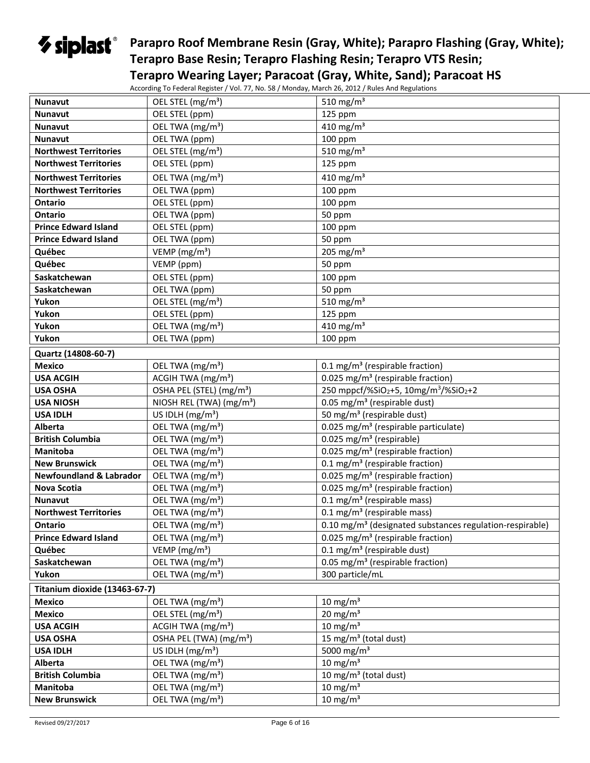## **Parapro Roof Membrane Resin (Gray, White); Parapro Flashing (Gray, White); Terapro Base Resin; Terapro Flashing Resin; Terapro VTS Resin; Terapro Wearing Layer; Paracoat (Gray, White, Sand); Paracoat HS**

According To Federal Register / Vol. 77, No. 58 / Monday, March 26, 2012 / Rules And Regulations

| <b>Nunavut</b>                     | OEL STEL (mg/m <sup>3</sup> )        | 510 mg/m <sup>3</sup>                                                |
|------------------------------------|--------------------------------------|----------------------------------------------------------------------|
| <b>Nunavut</b>                     | OEL STEL (ppm)                       | 125 ppm                                                              |
| Nunavut                            | OEL TWA (mg/m <sup>3</sup> )         | $\frac{1}{410}$ mg/m <sup>3</sup>                                    |
| <b>Nunavut</b>                     | OEL TWA (ppm)                        | 100 ppm                                                              |
| <b>Northwest Territories</b>       | OEL STEL (mg/m <sup>3</sup> )        | 510 mg/m $3$                                                         |
| <b>Northwest Territories</b>       | OEL STEL (ppm)                       | 125 ppm                                                              |
| <b>Northwest Territories</b>       | OEL TWA (mg/m <sup>3</sup> )         | 410 mg/m <sup>3</sup>                                                |
| <b>Northwest Territories</b>       | OEL TWA (ppm)                        | 100 ppm                                                              |
| <b>Ontario</b>                     | OEL STEL (ppm)                       | $100$ ppm                                                            |
| <b>Ontario</b>                     | OEL TWA (ppm)                        | 50 ppm                                                               |
| <b>Prince Edward Island</b>        | OEL STEL (ppm)                       | $100$ ppm                                                            |
| <b>Prince Edward Island</b>        | OEL TWA (ppm)                        | 50 ppm                                                               |
| Québec                             | VEMP ( $mg/m3$ )                     | 205 mg/m <sup>3</sup>                                                |
| Québec                             | VEMP (ppm)                           | 50 ppm                                                               |
| Saskatchewan                       | OEL STEL (ppm)                       | 100 ppm                                                              |
| Saskatchewan                       | OEL TWA (ppm)                        | 50 ppm                                                               |
| Yukon                              | OEL STEL (mg/m <sup>3</sup> )        | 510 mg/m $3$                                                         |
| Yukon                              | OEL STEL (ppm)                       | 125 ppm                                                              |
| Yukon                              | OEL TWA (mg/m <sup>3</sup> )         | $410 \text{ mg/m}^3$                                                 |
| Yukon                              | OEL TWA (ppm)                        | 100 ppm                                                              |
| Quartz (14808-60-7)                |                                      |                                                                      |
| <b>Mexico</b>                      | OEL TWA (mg/m <sup>3</sup> )         | 0.1 mg/m <sup>3</sup> (respirable fraction)                          |
| <b>USA ACGIH</b>                   | ACGIH TWA (mg/m <sup>3</sup> )       | 0.025 mg/m <sup>3</sup> (respirable fraction)                        |
| <b>USA OSHA</b>                    | OSHA PEL (STEL) (mg/m <sup>3</sup> ) | 250 mppcf/%SiO2+5, 10mg/m <sup>3</sup> /%SiO <sub>2</sub> +2         |
| <b>USA NIOSH</b>                   | NIOSH REL (TWA) (mg/m <sup>3</sup> ) | 0.05 mg/m <sup>3</sup> (respirable dust)                             |
| <b>USA IDLH</b>                    | US IDLH $(mg/m3)$                    | 50 mg/m <sup>3</sup> (respirable dust)                               |
| Alberta                            | OEL TWA (mg/m <sup>3</sup> )         | 0.025 mg/m <sup>3</sup> (respirable particulate)                     |
| <b>British Columbia</b>            | OEL TWA (mg/m <sup>3</sup> )         | 0.025 mg/m <sup>3</sup> (respirable)                                 |
| Manitoba                           | OEL TWA (mg/m <sup>3</sup> )         | 0.025 mg/m <sup>3</sup> (respirable fraction)                        |
| <b>New Brunswick</b>               | OEL TWA (mg/m <sup>3</sup> )         | 0.1 mg/m <sup>3</sup> (respirable fraction)                          |
| <b>Newfoundland &amp; Labrador</b> | OEL TWA (mg/m <sup>3</sup> )         | 0.025 mg/m <sup>3</sup> (respirable fraction)                        |
| Nova Scotia                        | OEL TWA (mg/m <sup>3</sup> )         | 0.025 mg/m <sup>3</sup> (respirable fraction)                        |
| <b>Nunavut</b>                     | OEL TWA (mg/m <sup>3</sup> )         | $0.1 \text{ mg/m}^3$ (respirable mass)                               |
| <b>Northwest Territories</b>       | OEL TWA (mg/m <sup>3</sup> )         | $0.1 \text{ mg/m}^3$ (respirable mass)                               |
| <b>Ontario</b>                     | OEL TWA (mg/m <sup>3</sup> )         | 0.10 mg/m <sup>3</sup> (designated substances regulation-respirable) |
| <b>Prince Edward Island</b>        | OEL TWA (mg/m <sup>3</sup> )         | 0.025 mg/m <sup>3</sup> (respirable fraction)                        |
| Québec                             | VEMP ( $mg/m3$ )                     | $0.1$ mg/m <sup>3</sup> (respirable dust)                            |
| Saskatchewan                       | OEL TWA (mg/m <sup>3</sup> )         | 0.05 mg/m <sup>3</sup> (respirable fraction)                         |
| Yukon                              | OEL TWA (mg/m <sup>3</sup> )         | 300 particle/mL                                                      |
| Titanium dioxide (13463-67-7)      |                                      |                                                                      |
| <b>Mexico</b>                      | OEL TWA (mg/m <sup>3</sup> )         | $10 \text{ mg/m}^3$                                                  |
| <b>Mexico</b>                      | OEL STEL (mg/m <sup>3</sup> )        | $20 \text{ mg/m}^3$                                                  |
| <b>USA ACGIH</b>                   | ACGIH TWA (mg/m <sup>3</sup> )       | $10 \text{ mg/m}^3$                                                  |
| <b>USA OSHA</b>                    | OSHA PEL (TWA) (mg/m <sup>3</sup> )  | 15 mg/m <sup>3</sup> (total dust)                                    |
| <b>USA IDLH</b>                    | US IDLH $(mg/m3)$                    | 5000 mg/m <sup>3</sup>                                               |
| Alberta                            | OEL TWA (mg/m <sup>3</sup> )         | $10 \text{ mg/m}^3$                                                  |
| <b>British Columbia</b>            | OEL TWA (mg/m <sup>3</sup> )         | 10 mg/m <sup>3</sup> (total dust)                                    |
| Manitoba                           | OEL TWA (mg/m <sup>3</sup> )         | $10 \text{ mg/m}^3$                                                  |
| <b>New Brunswick</b>               | OEL TWA (mg/m <sup>3</sup> )         | $10 \text{ mg/m}^3$                                                  |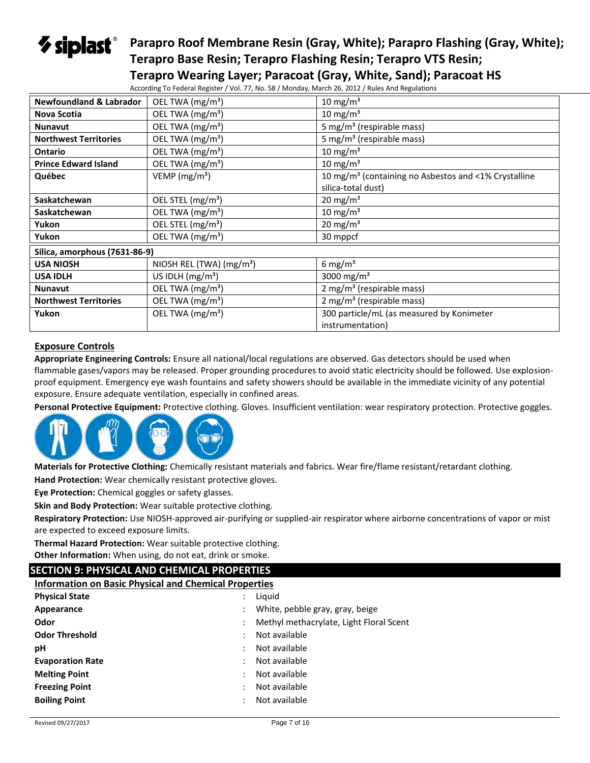# $\gamma$  siplast $\degree$

## **Parapro Roof Membrane Resin (Gray, White); Parapro Flashing (Gray, White); Terapro Base Resin; Terapro Flashing Resin; Terapro VTS Resin; Terapro Wearing Layer; Paracoat (Gray, White, Sand); Paracoat HS**

| $1$ crapto wearing Layer, randebat (Gray, writte, Sand), ran                                     |  |  |
|--------------------------------------------------------------------------------------------------|--|--|
| According To Federal Register / Vol. 77, No. 58 / Monday, March 26, 2012 / Rules And Regulations |  |  |

| <b>Newfoundland &amp; Labrador</b> | OEL TWA (mg/m <sup>3</sup> )  | $10 \text{ mg/m}^3$                                              |
|------------------------------------|-------------------------------|------------------------------------------------------------------|
| <b>Nova Scotia</b>                 | OEL TWA (mg/m <sup>3</sup> )  | $10 \text{ mg/m}^3$                                              |
| <b>Nunavut</b>                     | OEL TWA (mg/m <sup>3</sup> )  | 5 mg/m <sup>3</sup> (respirable mass)                            |
| <b>Northwest Territories</b>       | OEL TWA (mg/m <sup>3</sup> )  | 5 mg/m <sup>3</sup> (respirable mass)                            |
| <b>Ontario</b>                     | OEL TWA (mg/m <sup>3</sup> )  | 10 mg/m $3$                                                      |
| <b>Prince Edward Island</b>        | OEL TWA (mg/m <sup>3</sup> )  | 10 mg/m <sup>3</sup>                                             |
| Québec                             | VEMP ( $mg/m3$ )              | 10 mg/m <sup>3</sup> (containing no Asbestos and <1% Crystalline |
|                                    |                               | silica-total dust)                                               |
| Saskatchewan                       | OEL STEL (mg/m <sup>3</sup> ) | $20 \text{ mg/m}^3$                                              |
| Saskatchewan                       | OEL TWA (mg/m <sup>3</sup> )  | $10 \text{ mg/m}^3$                                              |
| Yukon                              | OEL STEL (mg/m <sup>3</sup> ) | $20 \text{ mg/m}^3$                                              |
| Yukon                              | OEL TWA (mg/m <sup>3</sup> )  | 30 mppcf                                                         |
| Silica, amorphous (7631-86-9)      |                               |                                                                  |
| <b>USA NIOSH</b>                   | NIOSH REL (TWA) $(mg/m3)$     | 6 mg/ $m3$                                                       |
| <b>USA IDLH</b>                    | US IDLH $(mg/m3)$             | 3000 mg/m <sup>3</sup>                                           |
| <b>Nunavut</b>                     | OEL TWA (mg/m <sup>3</sup> )  | $2 \text{ mg/m}^3$ (respirable mass)                             |
| <b>Northwest Territories</b>       | OEL TWA (mg/m <sup>3</sup> )  | $2 \text{ mg/m}^3$ (respirable mass)                             |
| Yukon                              | OEL TWA (mg/m <sup>3</sup> )  | 300 particle/mL (as measured by Konimeter                        |
|                                    |                               | instrumentation)                                                 |

#### **Exposure Controls**

**Appropriate Engineering Controls:** Ensure all national/local regulations are observed. Gas detectors should be used when flammable gases/vapors may be released. Proper grounding procedures to avoid static electricity should be followed. Use explosionproof equipment. Emergency eye wash fountains and safety showers should be available in the immediate vicinity of any potential exposure. Ensure adequate ventilation, especially in confined areas.

**Personal Protective Equipment:** Protective clothing. Gloves. Insufficient ventilation: wear respiratory protection. Protective goggles.



**Materials for Protective Clothing:** Chemically resistant materials and fabrics. Wear fire/flame resistant/retardant clothing.

**Hand Protection:** Wear chemically resistant protective gloves.

**Eye Protection:** Chemical goggles or safety glasses.

**Skin and Body Protection:** Wear suitable protective clothing.

**Respiratory Protection:** Use NIOSH-approved air-purifying or supplied-air respirator where airborne concentrations of vapor or mist are expected to exceed exposure limits.

**Thermal Hazard Protection:** Wear suitable protective clothing.

**Other Information:** When using, do not eat, drink or smoke.

## **SECTION 9: PHYSICAL AND CHEMICAL PROPERTIES**

**Information on Basic Physical and Chemical Properties**

| <b>Physical State</b>   | Liquid                                |                                         |
|-------------------------|---------------------------------------|-----------------------------------------|
| Appearance              | ÷                                     | White, pebble gray, gray, beige         |
| Odor                    |                                       | Methyl methacrylate, Light Floral Scent |
| <b>Odor Threshold</b>   | Not available                         |                                         |
| рH                      | Not available                         |                                         |
| <b>Evaporation Rate</b> | Not available                         |                                         |
| <b>Melting Point</b>    | Not available                         |                                         |
| <b>Freezing Point</b>   | Not available                         |                                         |
| <b>Boiling Point</b>    | Not available<br>$\ddot{\phantom{a}}$ |                                         |
|                         |                                       |                                         |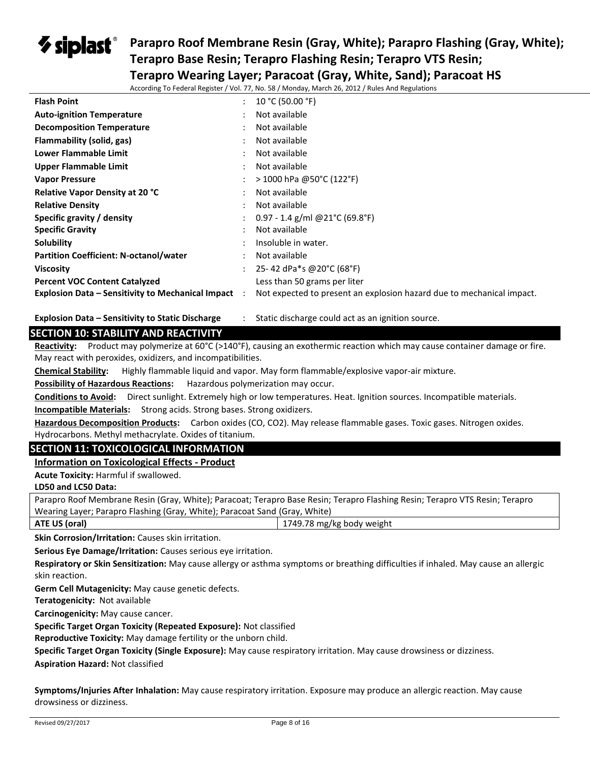## **Parapro Roof Membrane Resin (Gray, White); Parapro Flashing (Gray, White);**  $\bm{\triangledown}$  siplast $\degree$ **Terapro Base Resin; Terapro Flashing Resin; Terapro VTS Resin;**

**Terapro Wearing Layer; Paracoat (Gray, White, Sand); Paracoat HS**

According To Federal Register / Vol. 77, No. 58 / Monday, March 26, 2012 / Rules And Regulations

| <b>Flash Point</b>                                         | $\ddot{\phantom{a}}$ | 10 °C (50.00 °F)                                                      |
|------------------------------------------------------------|----------------------|-----------------------------------------------------------------------|
| <b>Auto-ignition Temperature</b>                           |                      | Not available                                                         |
| <b>Decomposition Temperature</b>                           |                      | Not available                                                         |
| Flammability (solid, gas)                                  |                      | Not available                                                         |
| Lower Flammable Limit                                      |                      | Not available                                                         |
| Upper Flammable Limit                                      |                      | Not available                                                         |
| <b>Vapor Pressure</b>                                      |                      | $>$ 1000 hPa @50°C (122°F)                                            |
| <b>Relative Vapor Density at 20 °C</b>                     |                      | Not available                                                         |
| <b>Relative Density</b>                                    |                      | Not available                                                         |
| Specific gravity / density                                 |                      | 0.97 - 1.4 g/ml @21°C (69.8°F)                                        |
| <b>Specific Gravity</b>                                    |                      | Not available                                                         |
| Solubility                                                 |                      | Insoluble in water.                                                   |
| <b>Partition Coefficient: N-octanol/water</b>              |                      | Not available                                                         |
| <b>Viscosity</b>                                           |                      | 25-42 dPa*s @20°C (68°F)                                              |
| <b>Percent VOC Content Catalyzed</b>                       |                      | Less than 50 grams per liter                                          |
| <b>Explosion Data – Sensitivity to Mechanical Impact</b> : |                      | Not expected to present an explosion hazard due to mechanical impact. |

**Explosion Data – Sensitivity to Static Discharge** : Static discharge could act as an ignition source.

## **SECTION 10: STABILITY AND REACTIVITY**

**Reactivity:** Product may polymerize at 60°C (>140°F), causing an exothermic reaction which may cause container damage or fire. May react with peroxides, oxidizers, and incompatibilities.

**Chemical Stability:** Highly flammable liquid and vapor. May form flammable/explosive vapor-air mixture.

**Possibility of Hazardous Reactions:** Hazardous polymerization may occur.

**Conditions to Avoid:** Direct sunlight. Extremely high or low temperatures. Heat. Ignition sources. Incompatible materials. **Incompatible Materials:** Strong acids. Strong bases. Strong oxidizers.

**Hazardous Decomposition Products:** Carbon oxides (CO, CO2). May release flammable gases. Toxic gases. Nitrogen oxides. Hydrocarbons. Methyl methacrylate. Oxides of titanium.

## **SECTION 11: TOXICOLOGICAL INFORMATION**

**Information on Toxicological Effects - Product**

**Acute Toxicity:** Harmful if swallowed.

#### **LD50 and LC50 Data:**

Parapro Roof Membrane Resin (Gray, White); Paracoat; Terapro Base Resin; Terapro Flashing Resin; Terapro VTS Resin; Terapro Wearing Layer; Parapro Flashing (Gray, White); Paracoat Sand (Gray, White)

**ATE US (oral)** 1749.78 mg/kg body weight

**Skin Corrosion/Irritation:** Causes skin irritation.

**Serious Eye Damage/Irritation:** Causes serious eye irritation.

**Respiratory or Skin Sensitization:** May cause allergy or asthma symptoms or breathing difficulties if inhaled. May cause an allergic skin reaction.

**Germ Cell Mutagenicity:** May cause genetic defects.

**Teratogenicity:** Not available

**Carcinogenicity:** May cause cancer.

**Specific Target Organ Toxicity (Repeated Exposure):** Not classified

**Reproductive Toxicity:** May damage fertility or the unborn child.

**Specific Target Organ Toxicity (Single Exposure):** May cause respiratory irritation. May cause drowsiness or dizziness.

**Aspiration Hazard:** Not classified

**Symptoms/Injuries After Inhalation:** May cause respiratory irritation. Exposure may produce an allergic reaction. May cause drowsiness or dizziness.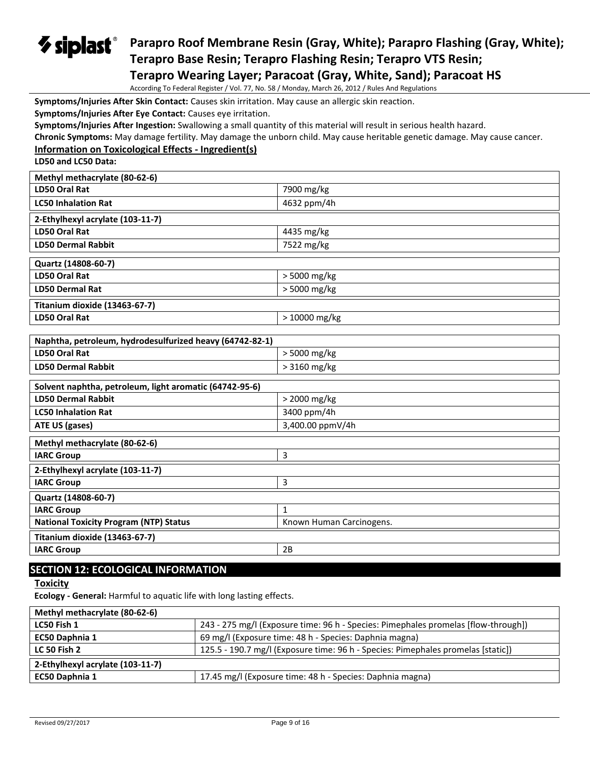## *V* siplast® **Parapro Roof Membrane Resin (Gray, White); Parapro Flashing (Gray, White); Terapro Base Resin; Terapro Flashing Resin; Terapro VTS Resin; Terapro Wearing Layer; Paracoat (Gray, White, Sand); Paracoat HS**

According To Federal Register / Vol. 77, No. 58 / Monday, March 26, 2012 / Rules And Regulations

**Symptoms/Injuries After Skin Contact:** Causes skin irritation. May cause an allergic skin reaction.

**Symptoms/Injuries After Eye Contact:** Causes eye irritation.

**Symptoms/Injuries After Ingestion:** Swallowing a small quantity of this material will result in serious health hazard.

**Chronic Symptoms:** May damage fertility. May damage the unborn child. May cause heritable genetic damage. May cause cancer.

#### **Information on Toxicological Effects - Ingredient(s)**

**LD50 and LC50 Data:**

| Methyl methacrylate (80-62-6)    |                |  |  |
|----------------------------------|----------------|--|--|
| LD50 Oral Rat                    | 7900 mg/kg     |  |  |
| <b>LC50 Inhalation Rat</b>       | 4632 ppm/4h    |  |  |
| 2-Ethylhexyl acrylate (103-11-7) |                |  |  |
| LD50 Oral Rat                    | 4435 mg/kg     |  |  |
| <b>LD50 Dermal Rabbit</b>        | 7522 mg/kg     |  |  |
| Quartz (14808-60-7)              |                |  |  |
| LD50 Oral Rat                    | > 5000 mg/kg   |  |  |
| <b>LD50 Dermal Rat</b>           | $> 5000$ mg/kg |  |  |
| Titanium dioxide (13463-67-7)    |                |  |  |
| LD50 Oral Rat                    | $>10000$ mg/kg |  |  |

| Naphtha, petroleum, hydrodesulfurized heavy (64742-82-1) |                          |  |
|----------------------------------------------------------|--------------------------|--|
| LD50 Oral Rat                                            | $>$ 5000 mg/kg           |  |
| <b>LD50 Dermal Rabbit</b>                                | > 3160 mg/kg             |  |
|                                                          |                          |  |
| Solvent naphtha, petroleum, light aromatic (64742-95-6)  |                          |  |
| <b>LD50 Dermal Rabbit</b>                                | > 2000 mg/kg             |  |
| <b>LC50 Inhalation Rat</b>                               | 3400 ppm/4h              |  |
| ATE US (gases)                                           | 3,400.00 ppmV/4h         |  |
| Methyl methacrylate (80-62-6)                            |                          |  |
| <b>IARC Group</b>                                        | 3                        |  |
| 2-Ethylhexyl acrylate (103-11-7)                         |                          |  |
| <b>IARC Group</b>                                        | 3                        |  |
| Quartz (14808-60-7)                                      |                          |  |
| <b>IARC Group</b>                                        | $\mathbf{1}$             |  |
| <b>National Toxicity Program (NTP) Status</b>            | Known Human Carcinogens. |  |
| Titanium dioxide (13463-67-7)                            |                          |  |
| <b>IARC Group</b>                                        | 2B                       |  |

## **SECTION 12: ECOLOGICAL INFORMATION**

**Toxicity** 

**Ecology - General:** Harmful to aquatic life with long lasting effects.

| Methyl methacrylate (80-62-6)    |                                                                                    |
|----------------------------------|------------------------------------------------------------------------------------|
| LC50 Fish 1                      | 243 - 275 mg/l (Exposure time: 96 h - Species: Pimephales promelas [flow-through]) |
| EC50 Daphnia 1                   | 69 mg/l (Exposure time: 48 h - Species: Daphnia magna)                             |
| <b>LC 50 Fish 2</b>              | 125.5 - 190.7 mg/l (Exposure time: 96 h - Species: Pimephales promelas [static])   |
| 2-Ethylhexyl acrylate (103-11-7) |                                                                                    |
| EC50 Daphnia 1                   | 17.45 mg/l (Exposure time: 48 h - Species: Daphnia magna)                          |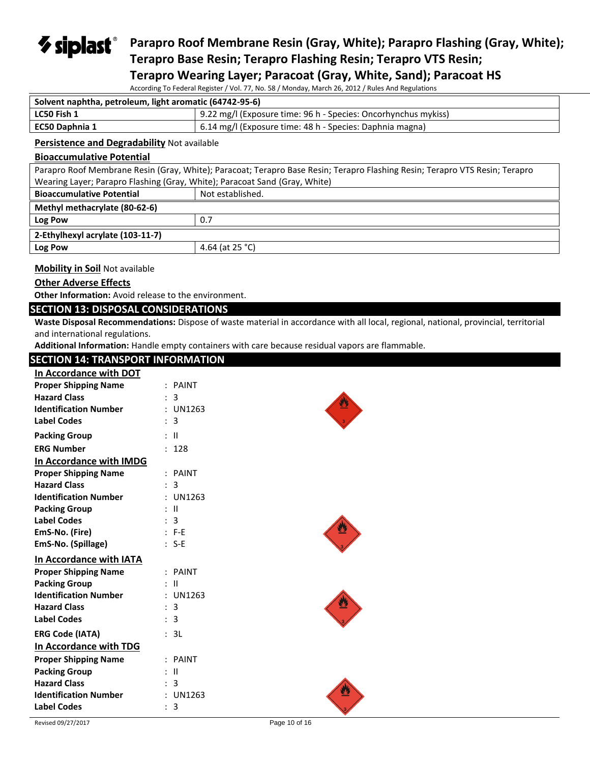## *V* siplast® **Parapro Roof Membrane Resin (Gray, White); Parapro Flashing (Gray, White); Terapro Base Resin; Terapro Flashing Resin; Terapro VTS Resin; Terapro Wearing Layer; Paracoat (Gray, White, Sand); Paracoat HS**

According To Federal Register / Vol. 77, No. 58 / Monday, March 26, 2012 / Rules And Regulations

| Solvent naphtha, petroleum, light aromatic (64742-95-6)                         |  |
|---------------------------------------------------------------------------------|--|
| . 9.22 mg/l (Exposure time: 96 h - Species: Oncorhynchus mykiss)<br>LC50 Fish 1 |  |
| 6.14 mg/l (Exposure time: 48 h - Species: Daphnia magna)<br>EC50 Daphnia 1      |  |

#### **Persistence and Degradability** Not available

#### **Bioaccumulative Potential**

| Parapro Roof Membrane Resin (Gray, White); Paracoat; Terapro Base Resin; Terapro Flashing Resin; Terapro VTS Resin; Terapro |                  |  |
|-----------------------------------------------------------------------------------------------------------------------------|------------------|--|
| Wearing Layer; Parapro Flashing (Gray, White); Paracoat Sand (Gray, White)                                                  |                  |  |
| <b>Bioaccumulative Potential</b>                                                                                            | Not established. |  |
| Methyl methacrylate (80-62-6)                                                                                               |                  |  |
| Log Pow                                                                                                                     | 0.7              |  |
| 2-Ethylhexyl acrylate (103-11-7)                                                                                            |                  |  |
| Log Pow                                                                                                                     | 4.64 (at 25 °C)  |  |
|                                                                                                                             |                  |  |

### **Mobility in Soil** Not available

## **Other Adverse Effects**

**Other Information:** Avoid release to the environment.

#### **SECTION 13: DISPOSAL CONSIDERATIONS**

**Waste Disposal Recommendations:** Dispose of waste material in accordance with all local, regional, national, provincial, territorial and international regulations.

**Additional Information:** Handle empty containers with care because residual vapors are flammable.

## **SECTION 14: TRANSPORT INFORMATION**

| In Accordance with DOT       |                  |  |
|------------------------------|------------------|--|
| <b>Proper Shipping Name</b>  | : PAINT          |  |
| <b>Hazard Class</b>          | 3                |  |
| <b>Identification Number</b> | : UN1263         |  |
| <b>Label Codes</b>           | : 3              |  |
| <b>Packing Group</b>         | $:$ $\mathbb{I}$ |  |
| <b>ERG Number</b>            | : 128            |  |
| In Accordance with IMDG      |                  |  |
| <b>Proper Shipping Name</b>  | : PAINT          |  |
| <b>Hazard Class</b>          | : 3              |  |
| <b>Identification Number</b> | : UN1263         |  |
| <b>Packing Group</b>         | $\pm$ 11         |  |
| <b>Label Codes</b>           | : 3              |  |
| EmS-No. (Fire)               | $: F-E$          |  |
| EmS-No. (Spillage)           | $: S-E$          |  |
| In Accordance with IATA      |                  |  |
| <b>Proper Shipping Name</b>  | : PAINT          |  |
| <b>Packing Group</b>         | : II             |  |
| <b>Identification Number</b> | : UN1263         |  |
| <b>Hazard Class</b>          | : 3              |  |
| <b>Label Codes</b>           | : 3              |  |
| <b>ERG Code (IATA)</b>       | : 3L             |  |
| In Accordance with TDG       |                  |  |
| <b>Proper Shipping Name</b>  | : PAINT          |  |
| <b>Packing Group</b>         | : II             |  |
| <b>Hazard Class</b>          | : 3              |  |
| <b>Identification Number</b> | : UN1263         |  |
| <b>Label Codes</b>           | : 3              |  |
|                              |                  |  |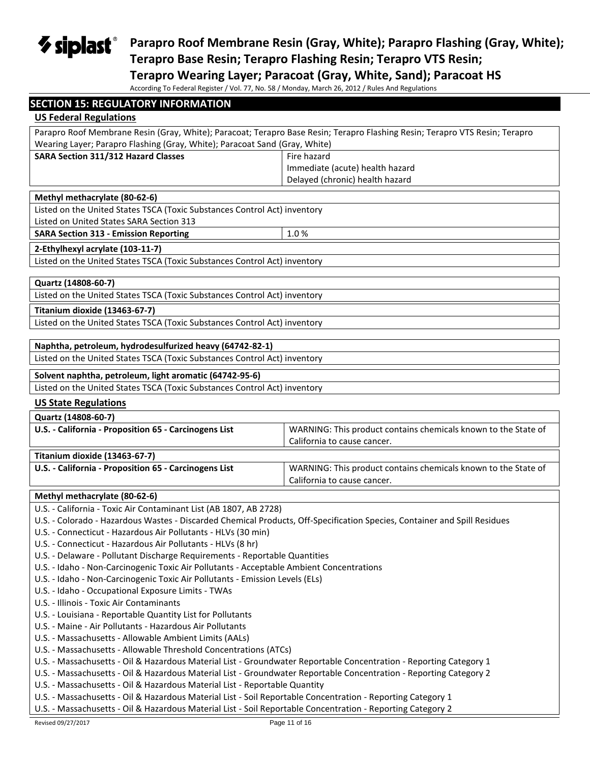**Parapro Roof Membrane Resin (Gray, White); Parapro Flashing (Gray, White); Terapro Base Resin; Terapro Flashing Resin; Terapro VTS Resin;** 

**Terapro Wearing Layer; Paracoat (Gray, White, Sand); Paracoat HS**

According To Federal Register / Vol. 77, No. 58 / Monday, March 26, 2012 / Rules And Regulations

| <b>SECTION 15: REGULATORY INFORMATION</b>                                                                                                                                                 |                                                                |  |
|-------------------------------------------------------------------------------------------------------------------------------------------------------------------------------------------|----------------------------------------------------------------|--|
| <b>US Federal Regulations</b>                                                                                                                                                             |                                                                |  |
| Parapro Roof Membrane Resin (Gray, White); Paracoat; Terapro Base Resin; Terapro Flashing Resin; Terapro VTS Resin; Terapro                                                               |                                                                |  |
| Wearing Layer; Parapro Flashing (Gray, White); Paracoat Sand (Gray, White)                                                                                                                |                                                                |  |
| SARA Section 311/312 Hazard Classes                                                                                                                                                       | Fire hazard                                                    |  |
|                                                                                                                                                                                           | Immediate (acute) health hazard                                |  |
|                                                                                                                                                                                           | Delayed (chronic) health hazard                                |  |
| Methyl methacrylate (80-62-6)                                                                                                                                                             |                                                                |  |
| Listed on the United States TSCA (Toxic Substances Control Act) inventory                                                                                                                 |                                                                |  |
| Listed on United States SARA Section 313                                                                                                                                                  |                                                                |  |
| <b>SARA Section 313 - Emission Reporting</b>                                                                                                                                              | 1.0%                                                           |  |
| 2-Ethylhexyl acrylate (103-11-7)                                                                                                                                                          |                                                                |  |
| Listed on the United States TSCA (Toxic Substances Control Act) inventory                                                                                                                 |                                                                |  |
| Quartz (14808-60-7)                                                                                                                                                                       |                                                                |  |
| Listed on the United States TSCA (Toxic Substances Control Act) inventory                                                                                                                 |                                                                |  |
|                                                                                                                                                                                           |                                                                |  |
| <b>Titanium dioxide (13463-67-7)</b>                                                                                                                                                      |                                                                |  |
| Listed on the United States TSCA (Toxic Substances Control Act) inventory                                                                                                                 |                                                                |  |
| Naphtha, petroleum, hydrodesulfurized heavy (64742-82-1)                                                                                                                                  |                                                                |  |
| Listed on the United States TSCA (Toxic Substances Control Act) inventory                                                                                                                 |                                                                |  |
|                                                                                                                                                                                           |                                                                |  |
| Solvent naphtha, petroleum, light aromatic (64742-95-6)                                                                                                                                   |                                                                |  |
| Listed on the United States TSCA (Toxic Substances Control Act) inventory                                                                                                                 |                                                                |  |
| <b>US State Regulations</b>                                                                                                                                                               |                                                                |  |
| Quartz (14808-60-7)                                                                                                                                                                       |                                                                |  |
| U.S. - California - Proposition 65 - Carcinogens List                                                                                                                                     | WARNING: This product contains chemicals known to the State of |  |
|                                                                                                                                                                                           | California to cause cancer.                                    |  |
| Titanium dioxide (13463-67-7)                                                                                                                                                             |                                                                |  |
| U.S. - California - Proposition 65 - Carcinogens List                                                                                                                                     | WARNING: This product contains chemicals known to the State of |  |
|                                                                                                                                                                                           | California to cause cancer.                                    |  |
| Methyl methacrylate (80-62-6)                                                                                                                                                             |                                                                |  |
| U.S. - California - Toxic Air Contaminant List (AB 1807, AB 2728)                                                                                                                         |                                                                |  |
| U.S. - Colorado - Hazardous Wastes - Discarded Chemical Products, Off-Specification Species, Container and Spill Residues                                                                 |                                                                |  |
| U.S. - Connecticut - Hazardous Air Pollutants - HLVs (30 min)                                                                                                                             |                                                                |  |
| U.S. - Connecticut - Hazardous Air Pollutants - HLVs (8 hr)                                                                                                                               |                                                                |  |
| U.S. - Delaware - Pollutant Discharge Requirements - Reportable Quantities                                                                                                                |                                                                |  |
| U.S. - Idaho - Non-Carcinogenic Toxic Air Pollutants - Acceptable Ambient Concentrations                                                                                                  |                                                                |  |
| U.S. - Idaho - Non-Carcinogenic Toxic Air Pollutants - Emission Levels (ELs)                                                                                                              |                                                                |  |
| U.S. - Idaho - Occupational Exposure Limits - TWAs                                                                                                                                        |                                                                |  |
| U.S. - Illinois - Toxic Air Contaminants                                                                                                                                                  |                                                                |  |
| U.S. - Louisiana - Reportable Quantity List for Pollutants                                                                                                                                |                                                                |  |
| U.S. - Maine - Air Pollutants - Hazardous Air Pollutants                                                                                                                                  |                                                                |  |
| U.S. - Massachusetts - Allowable Ambient Limits (AALs)<br>U.S. - Massachusetts - Allowable Threshold Concentrations (ATCs)                                                                |                                                                |  |
| U.S. - Massachusetts - Oil & Hazardous Material List - Groundwater Reportable Concentration - Reporting Category 1                                                                        |                                                                |  |
|                                                                                                                                                                                           |                                                                |  |
| U.S. - Massachusetts - Oil & Hazardous Material List - Groundwater Reportable Concentration - Reporting Category 2                                                                        |                                                                |  |
| U.S. - Massachusetts - Oil & Hazardous Material List - Reportable Quantity<br>U.S. - Massachusetts - Oil & Hazardous Material List - Soil Reportable Concentration - Reporting Category 1 |                                                                |  |
| U.S. - Massachusetts - Oil & Hazardous Material List - Soil Reportable Concentration - Reporting Category 2                                                                               |                                                                |  |
| Revised 09/27/2017                                                                                                                                                                        | Page 11 of 16                                                  |  |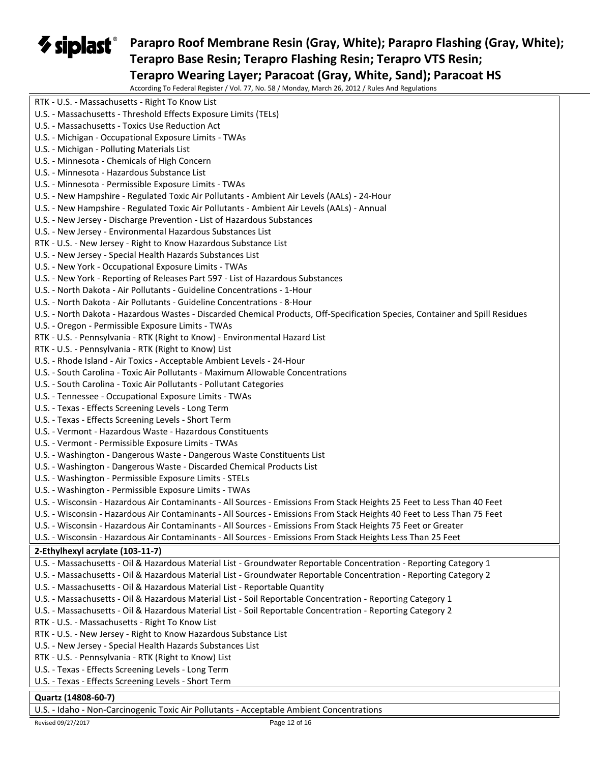## **Parapro Roof Membrane Resin (Gray, White); Parapro Flashing (Gray, White); Terapro Base Resin; Terapro Flashing Resin; Terapro VTS Resin; Terapro Wearing Layer; Paracoat (Gray, White, Sand); Paracoat HS**

According To Federal Register / Vol. 77, No. 58 / Monday, March 26, 2012 / Rules And Regulations

| According To Federal Register / VOI. 77, NO. 30 / Monday, March 20, 2012 / Rules And Regulations                              |
|-------------------------------------------------------------------------------------------------------------------------------|
| RTK - U.S. - Massachusetts - Right To Know List                                                                               |
| U.S. - Massachusetts - Threshold Effects Exposure Limits (TELs)                                                               |
| U.S. - Massachusetts - Toxics Use Reduction Act                                                                               |
| U.S. - Michigan - Occupational Exposure Limits - TWAs                                                                         |
| U.S. - Michigan - Polluting Materials List                                                                                    |
| U.S. - Minnesota - Chemicals of High Concern                                                                                  |
| U.S. - Minnesota - Hazardous Substance List                                                                                   |
| U.S. - Minnesota - Permissible Exposure Limits - TWAs                                                                         |
| U.S. - New Hampshire - Regulated Toxic Air Pollutants - Ambient Air Levels (AALs) - 24-Hour                                   |
| U.S. - New Hampshire - Regulated Toxic Air Pollutants - Ambient Air Levels (AALs) - Annual                                    |
| U.S. - New Jersey - Discharge Prevention - List of Hazardous Substances                                                       |
| U.S. - New Jersey - Environmental Hazardous Substances List                                                                   |
| RTK - U.S. - New Jersey - Right to Know Hazardous Substance List                                                              |
| U.S. - New Jersey - Special Health Hazards Substances List                                                                    |
| U.S. - New York - Occupational Exposure Limits - TWAs                                                                         |
| U.S. - New York - Reporting of Releases Part 597 - List of Hazardous Substances                                               |
| U.S. - North Dakota - Air Pollutants - Guideline Concentrations - 1-Hour                                                      |
| U.S. - North Dakota - Air Pollutants - Guideline Concentrations - 8-Hour                                                      |
| U.S. - North Dakota - Hazardous Wastes - Discarded Chemical Products, Off-Specification Species, Container and Spill Residues |
| U.S. - Oregon - Permissible Exposure Limits - TWAs                                                                            |
| RTK - U.S. - Pennsylvania - RTK (Right to Know) - Environmental Hazard List                                                   |
| RTK - U.S. - Pennsylvania - RTK (Right to Know) List                                                                          |
| U.S. - Rhode Island - Air Toxics - Acceptable Ambient Levels - 24-Hour                                                        |
| U.S. - South Carolina - Toxic Air Pollutants - Maximum Allowable Concentrations                                               |
| U.S. - South Carolina - Toxic Air Pollutants - Pollutant Categories                                                           |
| U.S. - Tennessee - Occupational Exposure Limits - TWAs                                                                        |
| U.S. - Texas - Effects Screening Levels - Long Term                                                                           |
| U.S. - Texas - Effects Screening Levels - Short Term                                                                          |
| U.S. - Vermont - Hazardous Waste - Hazardous Constituents                                                                     |
| U.S. - Vermont - Permissible Exposure Limits - TWAs                                                                           |
| U.S. - Washington - Dangerous Waste - Dangerous Waste Constituents List                                                       |
| U.S. - Washington - Dangerous Waste - Discarded Chemical Products List                                                        |
| U.S. - Washington - Permissible Exposure Limits - STELs                                                                       |
| U.S. - Washington - Permissible Exposure Limits - TWAs                                                                        |
| U.S. - Wisconsin - Hazardous Air Contaminants - All Sources - Emissions From Stack Heights 25 Feet to Less Than 40 Feet       |
| U.S. - Wisconsin - Hazardous Air Contaminants - All Sources - Emissions From Stack Heights 40 Feet to Less Than 75 Feet       |
| U.S. - Wisconsin - Hazardous Air Contaminants - All Sources - Emissions From Stack Heights 75 Feet or Greater                 |
| U.S. - Wisconsin - Hazardous Air Contaminants - All Sources - Emissions From Stack Heights Less Than 25 Feet                  |
|                                                                                                                               |
| 2-Ethylhexyl acrylate (103-11-7)                                                                                              |
| U.S. - Massachusetts - Oil & Hazardous Material List - Groundwater Reportable Concentration - Reporting Category 1            |
| U.S. - Massachusetts - Oil & Hazardous Material List - Groundwater Reportable Concentration - Reporting Category 2            |
| U.S. - Massachusetts - Oil & Hazardous Material List - Reportable Quantity                                                    |
| U.S. - Massachusetts - Oil & Hazardous Material List - Soil Reportable Concentration - Reporting Category 1                   |
| U.S. - Massachusetts - Oil & Hazardous Material List - Soil Reportable Concentration - Reporting Category 2                   |
| RTK - U.S. - Massachusetts - Right To Know List                                                                               |
| RTK - U.S. - New Jersey - Right to Know Hazardous Substance List                                                              |
| U.S. - New Jersey - Special Health Hazards Substances List                                                                    |
| RTK - U.S. - Pennsylvania - RTK (Right to Know) List                                                                          |
| U.S. - Texas - Effects Screening Levels - Long Term                                                                           |
| U.S. - Texas - Effects Screening Levels - Short Term                                                                          |
| Quartz (14808-60-7)                                                                                                           |

U.S. - Idaho - Non-Carcinogenic Toxic Air Pollutants - Acceptable Ambient Concentrations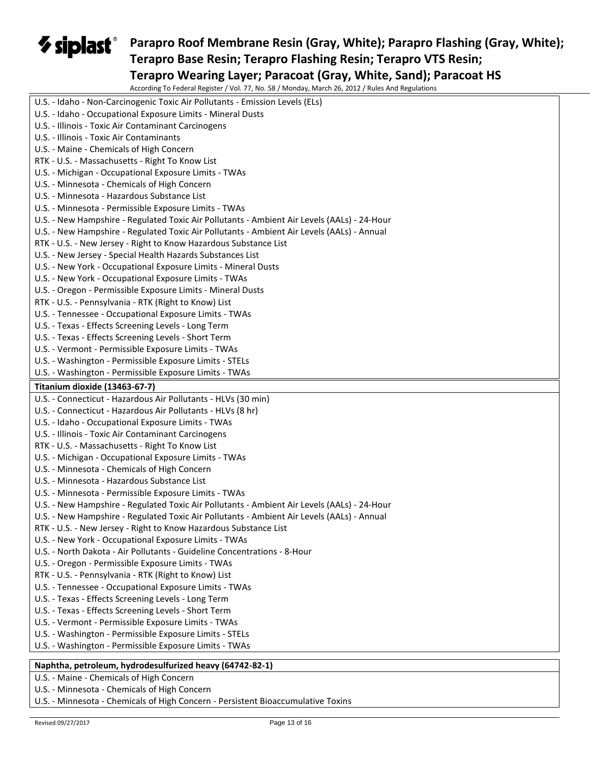## **Parapro Roof Membrane Resin (Gray, White); Parapro Flashing (Gray, White); Terapro Base Resin; Terapro Flashing Resin; Terapro VTS Resin; Terapro Wearing Layer; Paracoat (Gray, White, Sand); Paracoat HS**

According To Federal Register / Vol. 77, No. 58 / Monday, March 26, 2012 / Rules And Regulations

| According To Federal Register / VOI. 77, NO. 58 / MONday, March 26, 2012 / Rules And Regulations                  |
|-------------------------------------------------------------------------------------------------------------------|
| U.S. - Idaho - Non-Carcinogenic Toxic Air Pollutants - Emission Levels (ELs)                                      |
| U.S. - Idaho - Occupational Exposure Limits - Mineral Dusts                                                       |
| U.S. - Illinois - Toxic Air Contaminant Carcinogens                                                               |
| U.S. - Illinois - Toxic Air Contaminants                                                                          |
| U.S. - Maine - Chemicals of High Concern                                                                          |
| RTK - U.S. - Massachusetts - Right To Know List                                                                   |
| U.S. - Michigan - Occupational Exposure Limits - TWAs                                                             |
| U.S. - Minnesota - Chemicals of High Concern                                                                      |
| U.S. - Minnesota - Hazardous Substance List                                                                       |
| U.S. - Minnesota - Permissible Exposure Limits - TWAs                                                             |
| U.S. - New Hampshire - Regulated Toxic Air Pollutants - Ambient Air Levels (AALs) - 24-Hour                       |
| U.S. - New Hampshire - Regulated Toxic Air Pollutants - Ambient Air Levels (AALs) - Annual                        |
| RTK - U.S. - New Jersey - Right to Know Hazardous Substance List                                                  |
| U.S. - New Jersey - Special Health Hazards Substances List                                                        |
| U.S. - New York - Occupational Exposure Limits - Mineral Dusts                                                    |
| U.S. - New York - Occupational Exposure Limits - TWAs                                                             |
| U.S. - Oregon - Permissible Exposure Limits - Mineral Dusts                                                       |
| RTK - U.S. - Pennsylvania - RTK (Right to Know) List                                                              |
| U.S. - Tennessee - Occupational Exposure Limits - TWAs                                                            |
| U.S. - Texas - Effects Screening Levels - Long Term                                                               |
| U.S. - Texas - Effects Screening Levels - Short Term                                                              |
| U.S. - Vermont - Permissible Exposure Limits - TWAs                                                               |
| U.S. - Washington - Permissible Exposure Limits - STELs                                                           |
| U.S. - Washington - Permissible Exposure Limits - TWAs                                                            |
| Titanium dioxide (13463-67-7)                                                                                     |
|                                                                                                                   |
|                                                                                                                   |
| U.S. - Connecticut - Hazardous Air Pollutants - HLVs (30 min)                                                     |
| U.S. - Connecticut - Hazardous Air Pollutants - HLVs (8 hr)                                                       |
| U.S. - Idaho - Occupational Exposure Limits - TWAs                                                                |
| U.S. - Illinois - Toxic Air Contaminant Carcinogens                                                               |
| RTK - U.S. - Massachusetts - Right To Know List                                                                   |
| U.S. - Michigan - Occupational Exposure Limits - TWAs                                                             |
| U.S. - Minnesota - Chemicals of High Concern                                                                      |
| U.S. - Minnesota - Hazardous Substance List                                                                       |
| U.S. - Minnesota - Permissible Exposure Limits - TWAs                                                             |
| U.S. - New Hampshire - Regulated Toxic Air Pollutants - Ambient Air Levels (AALs) - 24-Hour                       |
| U.S. - New Hampshire - Regulated Toxic Air Pollutants - Ambient Air Levels (AALs) - Annual                        |
| RTK - U.S. - New Jersey - Right to Know Hazardous Substance List                                                  |
| U.S. - New York - Occupational Exposure Limits - TWAs                                                             |
| U.S. - North Dakota - Air Pollutants - Guideline Concentrations - 8-Hour                                          |
| U.S. - Oregon - Permissible Exposure Limits - TWAs                                                                |
| RTK - U.S. - Pennsylvania - RTK (Right to Know) List                                                              |
| U.S. - Tennessee - Occupational Exposure Limits - TWAs                                                            |
| U.S. - Texas - Effects Screening Levels - Long Term                                                               |
| U.S. - Texas - Effects Screening Levels - Short Term                                                              |
| U.S. - Vermont - Permissible Exposure Limits - TWAs                                                               |
| U.S. - Washington - Permissible Exposure Limits - STELs<br>U.S. - Washington - Permissible Exposure Limits - TWAs |
| Naphtha, petroleum, hydrodesulfurized heavy (64742-82-1)                                                          |

U.S. - Maine - Chemicals of High Concern

U.S. - Minnesota - Chemicals of High Concern

U.S. - Minnesota - Chemicals of High Concern - Persistent Bioaccumulative Toxins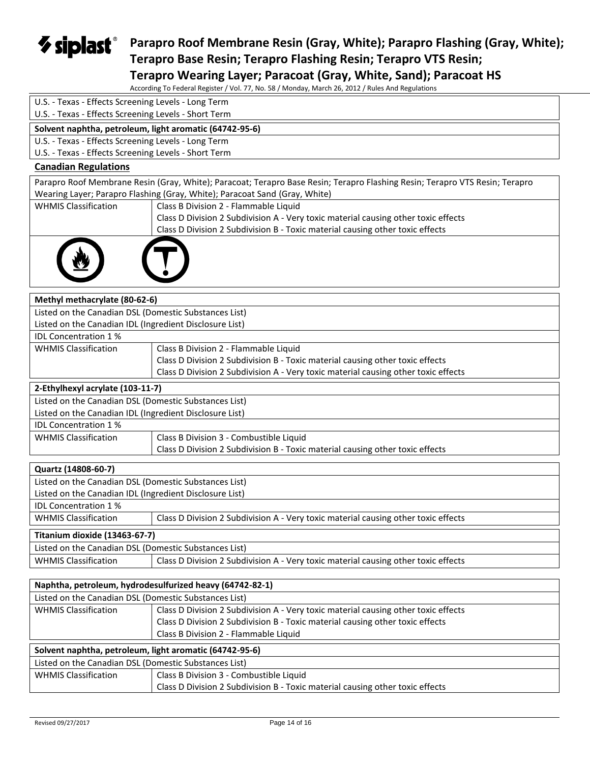*V* siplast® **Parapro Roof Membrane Resin (Gray, White); Parapro Flashing (Gray, White); Terapro Base Resin; Terapro Flashing Resin; Terapro VTS Resin;** 

**Terapro Wearing Layer; Paracoat (Gray, White, Sand); Paracoat HS** According To Federal Register / Vol. 77, No. 58 / Monday, March 26, 2012 / Rules And Regulations

|                                                         | According TO Federal Register $\gamma$ vol. 77, No. 50 $\gamma$ Monday, March 20, 2012 $\gamma$ Raics And Regardion.        |
|---------------------------------------------------------|-----------------------------------------------------------------------------------------------------------------------------|
| U.S. - Texas - Effects Screening Levels - Long Term     |                                                                                                                             |
| U.S. - Texas - Effects Screening Levels - Short Term    |                                                                                                                             |
|                                                         | Solvent naphtha, petroleum, light aromatic (64742-95-6)                                                                     |
| U.S. - Texas - Effects Screening Levels - Long Term     |                                                                                                                             |
| U.S. - Texas - Effects Screening Levels - Short Term    |                                                                                                                             |
| <b>Canadian Regulations</b>                             |                                                                                                                             |
|                                                         | Parapro Roof Membrane Resin (Gray, White); Paracoat; Terapro Base Resin; Terapro Flashing Resin; Terapro VTS Resin; Terapro |
|                                                         | Wearing Layer; Parapro Flashing (Gray, White); Paracoat Sand (Gray, White)                                                  |
| <b>WHMIS Classification</b>                             | Class B Division 2 - Flammable Liquid                                                                                       |
|                                                         | Class D Division 2 Subdivision A - Very toxic material causing other toxic effects                                          |
|                                                         | Class D Division 2 Subdivision B - Toxic material causing other toxic effects                                               |
|                                                         |                                                                                                                             |
| Methyl methacrylate (80-62-6)                           |                                                                                                                             |
| Listed on the Canadian DSL (Domestic Substances List)   |                                                                                                                             |
| Listed on the Canadian IDL (Ingredient Disclosure List) |                                                                                                                             |
| IDL Concentration 1%                                    |                                                                                                                             |
| <b>WHMIS Classification</b>                             | Class B Division 2 - Flammable Liquid                                                                                       |
|                                                         | Class D Division 2 Subdivision B - Toxic material causing other toxic effects                                               |
|                                                         | Class D Division 2 Subdivision A - Very toxic material causing other toxic effects                                          |
| 2-Ethylhexyl acrylate (103-11-7)                        |                                                                                                                             |
| Listed on the Canadian DSL (Domestic Substances List)   |                                                                                                                             |
| Listed on the Canadian IDL (Ingredient Disclosure List) |                                                                                                                             |
| IDL Concentration 1%                                    |                                                                                                                             |
| <b>WHMIS Classification</b>                             | Class B Division 3 - Combustible Liquid                                                                                     |
|                                                         | Class D Division 2 Subdivision B - Toxic material causing other toxic effects                                               |
|                                                         |                                                                                                                             |
| Quartz (14808-60-7)                                     |                                                                                                                             |
| Listed on the Canadian DSL (Domestic Substances List)   |                                                                                                                             |
| Listed on the Canadian IDL (Ingredient Disclosure List) |                                                                                                                             |
| <b>IDL Concentration 1%</b>                             |                                                                                                                             |
| <b>WHMIS Classification</b>                             | Class D Division 2 Subdivision A - Very toxic material causing other toxic effects                                          |
| Titanium dioxide (13463-67-7)                           |                                                                                                                             |
| Listed on the Canadian DSL (Domestic Substances List)   |                                                                                                                             |
| <b>WHMIS Classification</b>                             | Class D Division 2 Subdivision A - Very toxic material causing other toxic effects                                          |
|                                                         |                                                                                                                             |
|                                                         | Naphtha, petroleum, hydrodesulfurized heavy (64742-82-1)                                                                    |
| Listed on the Canadian DSL (Domestic Substances List)   |                                                                                                                             |
| <b>WHMIS Classification</b>                             | Class D Division 2 Subdivision A - Very toxic material causing other toxic effects                                          |
|                                                         | Class D Division 2 Subdivision B - Toxic material causing other toxic effects                                               |
|                                                         | Class B Division 2 - Flammable Liquid                                                                                       |
|                                                         | Solvent naphtha, petroleum, light aromatic (64742-95-6)                                                                     |
| Listed on the Canadian DSL (Domestic Substances List)   |                                                                                                                             |
| <b>WHMIS Classification</b>                             | Class B Division 3 - Combustible Liquid                                                                                     |

Class D Division 2 Subdivision B - Toxic material causing other toxic effects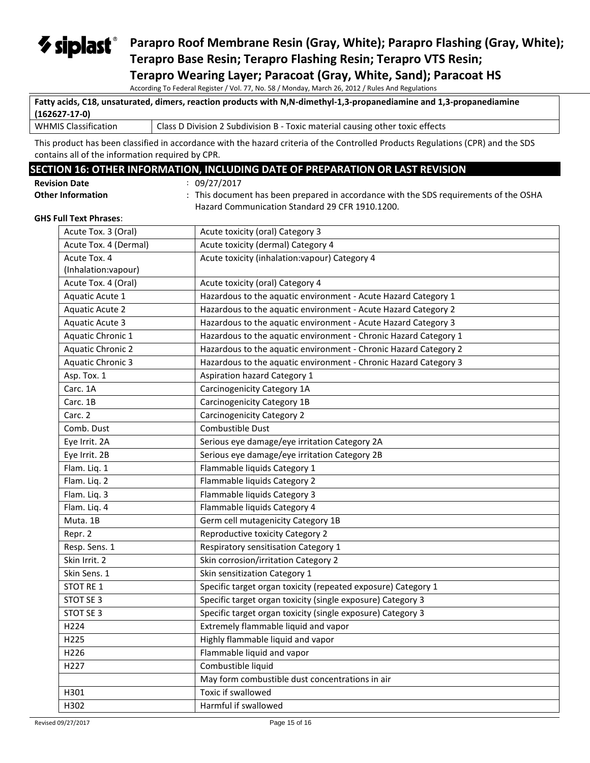## *V* siplast® **Parapro Roof Membrane Resin (Gray, White); Parapro Flashing (Gray, White); Terapro Base Resin; Terapro Flashing Resin; Terapro VTS Resin; Terapro Wearing Layer; Paracoat (Gray, White, Sand); Paracoat HS**

According To Federal Register / Vol. 77, No. 58 / Monday, March 26, 2012 / Rules And Regulations

|                             | Fatty acids, C18, unsaturated, dimers, reaction products with N,N-dimethyl-1,3-propanediamine and 1,3-propanediamine |
|-----------------------------|----------------------------------------------------------------------------------------------------------------------|
| (162627-17-0)               |                                                                                                                      |
| <b>WHMIS Classification</b> | Class D Division 2 Subdivision B - Toxic material causing other toxic effects                                        |

This product has been classified in accordance with the hazard criteria of the Controlled Products Regulations (CPR) and the SDS contains all of the information required by CPR.

## **SECTION 16: OTHER INFORMATION, INCLUDING DATE OF PREPARATION OR LAST REVISION**

| <b>Revision Date</b> |  |
|----------------------|--|
| Othor Information    |  |

**Revision Date** : 09/27/2017

**Other Information** : This document has been prepared in accordance with the SDS requirements of the OSHA Hazard Communication Standard 29 CFR 1910.1200.

#### **GHS Full Text Phrases**:

| Acute Tox. 3 (Oral)                 | Acute toxicity (oral) Category 3                                 |
|-------------------------------------|------------------------------------------------------------------|
| Acute Tox. 4 (Dermal)               | Acute toxicity (dermal) Category 4                               |
| Acute Tox. 4<br>(Inhalation:vapour) | Acute toxicity (inhalation: vapour) Category 4                   |
| Acute Tox. 4 (Oral)                 | Acute toxicity (oral) Category 4                                 |
| Aquatic Acute 1                     | Hazardous to the aquatic environment - Acute Hazard Category 1   |
| <b>Aquatic Acute 2</b>              | Hazardous to the aquatic environment - Acute Hazard Category 2   |
| Aquatic Acute 3                     | Hazardous to the aquatic environment - Acute Hazard Category 3   |
| Aquatic Chronic 1                   | Hazardous to the aquatic environment - Chronic Hazard Category 1 |
| <b>Aquatic Chronic 2</b>            | Hazardous to the aquatic environment - Chronic Hazard Category 2 |
| <b>Aquatic Chronic 3</b>            | Hazardous to the aquatic environment - Chronic Hazard Category 3 |
| Asp. Tox. 1                         | Aspiration hazard Category 1                                     |
| Carc. 1A                            | Carcinogenicity Category 1A                                      |
| Carc. 1B                            | Carcinogenicity Category 1B                                      |
| Carc. 2                             | <b>Carcinogenicity Category 2</b>                                |
| Comb. Dust                          | Combustible Dust                                                 |
| Eye Irrit. 2A                       | Serious eye damage/eye irritation Category 2A                    |
| Eye Irrit. 2B                       | Serious eye damage/eye irritation Category 2B                    |
| Flam. Liq. 1                        | Flammable liquids Category 1                                     |
| Flam. Liq. 2                        | Flammable liquids Category 2                                     |
| Flam. Liq. 3                        | Flammable liquids Category 3                                     |
| Flam. Liq. 4                        | Flammable liquids Category 4                                     |
| Muta. 1B                            | Germ cell mutagenicity Category 1B                               |
| Repr. 2                             | Reproductive toxicity Category 2                                 |
| Resp. Sens. 1                       | Respiratory sensitisation Category 1                             |
| Skin Irrit. 2                       | Skin corrosion/irritation Category 2                             |
| Skin Sens. 1                        | Skin sensitization Category 1                                    |
| STOT RE 1                           | Specific target organ toxicity (repeated exposure) Category 1    |
| STOT SE 3                           | Specific target organ toxicity (single exposure) Category 3      |
| STOT SE 3                           | Specific target organ toxicity (single exposure) Category 3      |
| H224                                | Extremely flammable liquid and vapor                             |
| H225                                | Highly flammable liquid and vapor                                |
| H226                                | Flammable liquid and vapor                                       |
| H227                                | Combustible liquid                                               |
|                                     | May form combustible dust concentrations in air                  |
| H301                                | Toxic if swallowed                                               |
| H302                                | Harmful if swallowed                                             |